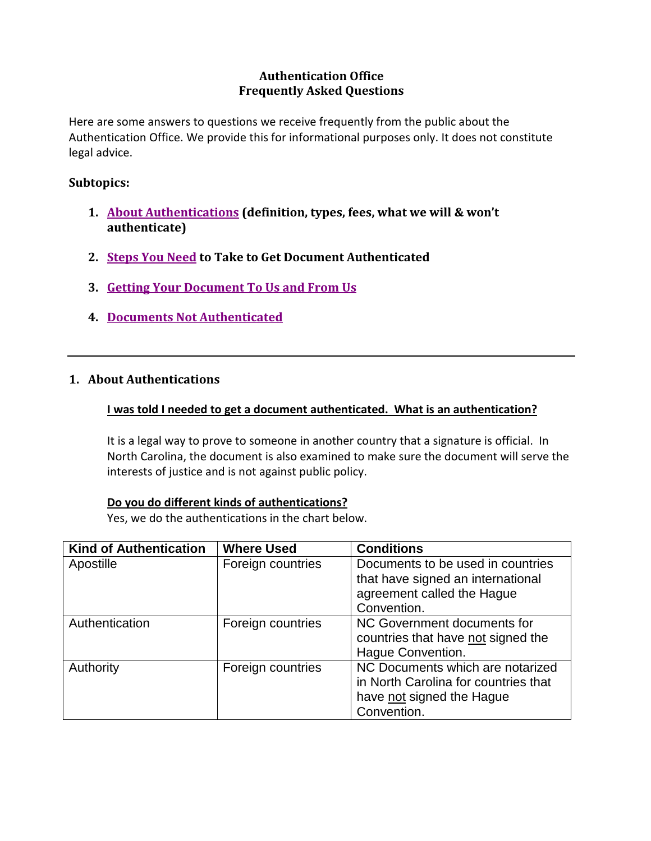# **Authentication Office Frequently Asked Questions**

<span id="page-0-1"></span>Here are some answers to questions we receive frequently from the public about the Authentication Office. We provide this for informational purposes only. It does not constitute legal advice.

## **Subtopics:**

- **1. [About Authentications](#page-0-0) (definition, types, fees, what we will & won't authenticate)**
- **2. [Steps You Need](#page-2-0) to Take to Get Document Authenticated**
- **3. [Getting Your Document To Us and From Us](#page-3-0)**
- **4. [Documents Not Authenticated](#page-6-0)**

## <span id="page-0-0"></span>**1. About Authentications**

### **I was told I needed to get a document authenticated. What is an authentication?**

It is a legal way to prove to someone in another country that a signature is official. In North Carolina, the document is also examined to make sure the document will serve the interests of justice and is not against public policy.

### **Do you do different kinds of authentications?**

Yes, we do the authentications in the chart below.

| <b>Kind of Authentication</b> | <b>Where Used</b> | <b>Conditions</b>                                                                                                    |
|-------------------------------|-------------------|----------------------------------------------------------------------------------------------------------------------|
| Apostille                     | Foreign countries | Documents to be used in countries<br>that have signed an international<br>agreement called the Hague<br>Convention.  |
| Authentication                | Foreign countries | NC Government documents for<br>countries that have not signed the<br>Hague Convention.                               |
| Authority                     | Foreign countries | NC Documents which are notarized<br>in North Carolina for countries that<br>have not signed the Hague<br>Convention. |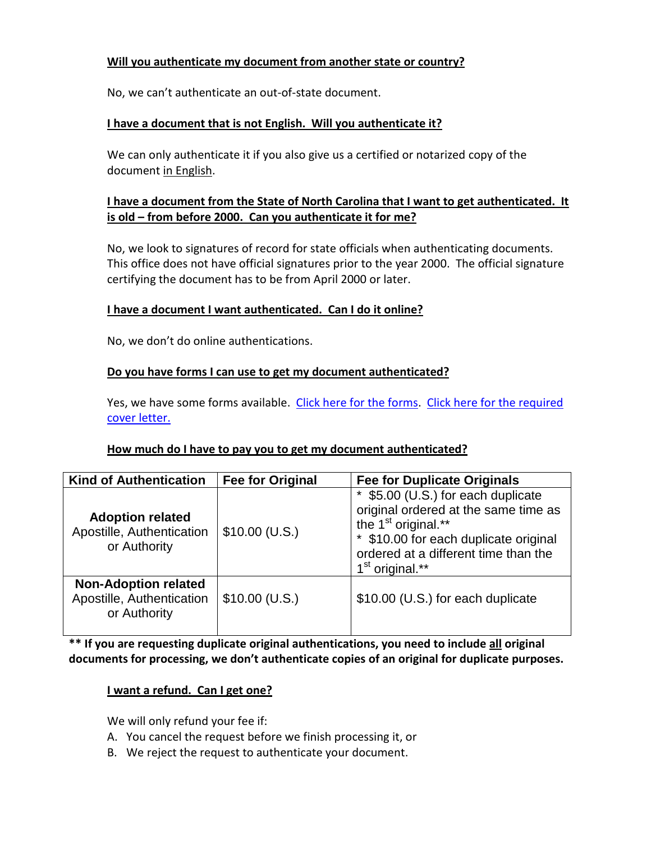# **Will you authenticate my document from another state or country?**

No, we can't authenticate an out-of-state document.

## **I have a document that is not English. Will you authenticate it?**

We can only authenticate it if you also give us a certified or notarized copy of the document in English.

# **I have a document from the State of North Carolina that I want to get authenticated. It is old – from before 2000. Can you authenticate it for me?**

No, we look to signatures of record for state officials when authenticating documents. This office does not have official signatures prior to the year 2000. The official signature certifying the document has to be from April 2000 or later.

### **I have a document I want authenticated. Can I do it online?**

No, we don't do online authentications.

### **Do you have forms I can use to get my document authenticated?**

Yes, we have some forms available. [Click here for](http://www.secretary.state.nc.us/authen/samples.aspx) the forms. [Click here for the](http://www.secretary.state.nc.us/authen/cover.aspx) required cover [letter.](http://www.secretary.state.nc.us/authen/cover.aspx)

### **How much do I have to pay you to get my document authenticated?**

| <b>Kind of Authentication</b>                                            | <b>Fee for Original</b> | <b>Fee for Duplicate Originals</b>                                                                                                                                                                                          |
|--------------------------------------------------------------------------|-------------------------|-----------------------------------------------------------------------------------------------------------------------------------------------------------------------------------------------------------------------------|
| <b>Adoption related</b><br>Apostille, Authentication<br>or Authority     | $$10.00$ (U.S.)         | \$5.00 (U.S.) for each duplicate<br>original ordered at the same time as<br>the 1 <sup>st</sup> original.**<br>* \$10.00 for each duplicate original<br>ordered at a different time than the<br>1 <sup>st</sup> original.** |
| <b>Non-Adoption related</b><br>Apostille, Authentication<br>or Authority | $$10.00$ (U.S.)         | \$10.00 (U.S.) for each duplicate                                                                                                                                                                                           |

**\*\* If you are requesting duplicate original authentications, you need to include all original documents for processing, we don't authenticate copies of an original for duplicate purposes.**

### **I want a refund. Can I get one?**

We will only refund your fee if:

- A. You cancel the request before we finish processing it, or
- B. We reject the request to authenticate your document.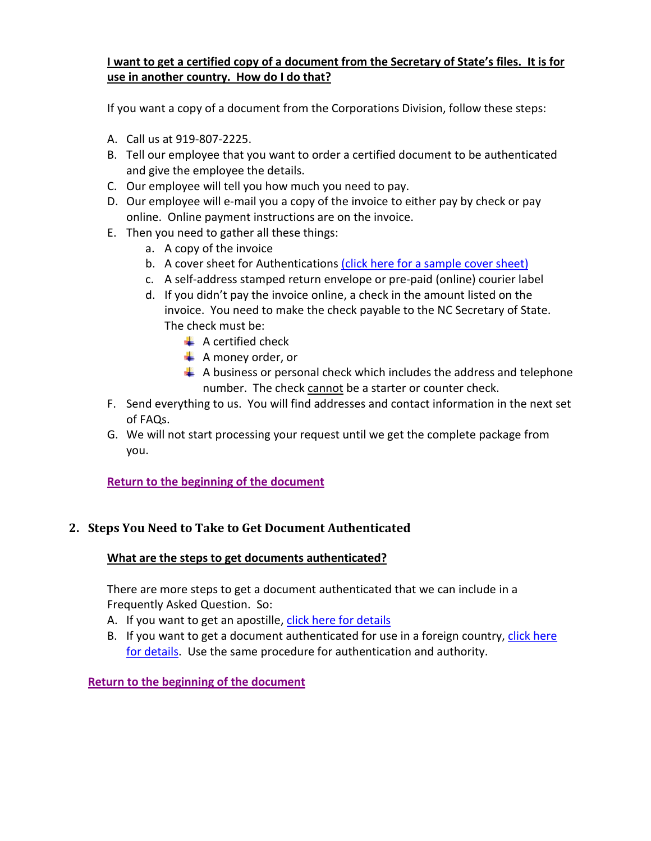# **I want to get a certified copy of a document from the Secretary of State's files. It is for use in another country. How do I do that?**

If you want a copy of a document from the Corporations Division, follow these steps:

- A. Call us at 919-807-2225.
- B. Tell our employee that you want to order a certified document to be authenticated and give the employee the details.
- C. Our employee will tell you how much you need to pay.
- D. Our employee will e-mail you a copy of the invoice to either pay by check or pay online. Online payment instructions are on the invoice.
- E. Then you need to gather all these things:
	- a. A copy of the invoice
	- b. A cover sheet for Authentications [\(click here for a sample cover sheet\)](http://www.secretary.state.nc.us/authen/cover.aspx)
	- c. A self-address stamped return envelope or pre-paid (online) courier label
	- d. If you didn't pay the invoice online, a check in the amount listed on the invoice. You need to make the check payable to the NC Secretary of State. The check must be:
		- $\triangleq$  A certified check
		- $\triangleq$  A money order, or
		- $\triangleq$  A business or personal check which includes the address and telephone number. The check cannot be a starter or counter check.
- F. Send everything to us. You will find addresses and contact information in the next set of FAQs.
- G. We will not start processing your request until we get the complete package from you.

**[Return to the beginning of the document](#page-0-1)**

# <span id="page-2-0"></span>**2. Steps You Need to Take to Get Document Authenticated**

### **What are the steps to get documents authenticated?**

There are more steps to get a document authenticated that we can include in a Frequently Asked Question. So:

- A. If you want to get an apostille, [click here for details](http://www.secretary.state.nc.us/authen/aposinfo.aspx)
- B. If you want to get a document authenticated for use in a foreign country, click here [for details.](http://www.secretary.state.nc.us/authen/authinfo.aspx) Use the same procedure for authentication and authority.

**[Return to the beginning of the document](#page-0-1)**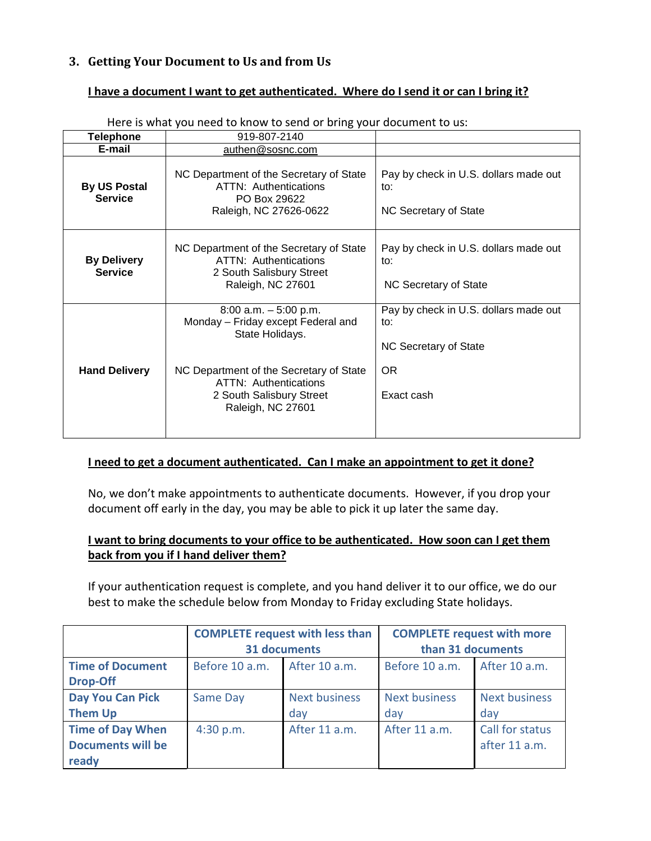# <span id="page-3-0"></span>**3. Getting Your Document to Us and from Us**

### **I have a document I want to get authenticated. Where do I send it or can I bring it?**

| <b>Telephone</b>                      | There is write you need to miow to seria or bring your abcarrient to as.<br>919-807-2140                                                                                                                      |                                                                                            |  |
|---------------------------------------|---------------------------------------------------------------------------------------------------------------------------------------------------------------------------------------------------------------|--------------------------------------------------------------------------------------------|--|
| E-mail                                | authen@sosnc.com                                                                                                                                                                                              |                                                                                            |  |
| <b>By US Postal</b><br><b>Service</b> | NC Department of the Secretary of State<br><b>ATTN: Authentications</b><br>PO Box 29622<br>Raleigh, NC 27626-0622                                                                                             | Pay by check in U.S. dollars made out<br>to:<br>NC Secretary of State                      |  |
| <b>By Delivery</b><br><b>Service</b>  | NC Department of the Secretary of State<br><b>ATTN: Authentications</b><br>2 South Salisbury Street<br>Raleigh, NC 27601                                                                                      | Pay by check in U.S. dollars made out<br>to:<br>NC Secretary of State                      |  |
| <b>Hand Delivery</b>                  | $8:00$ a.m. $-5:00$ p.m.<br>Monday - Friday except Federal and<br>State Holidays.<br>NC Department of the Secretary of State<br><b>ATTN: Authentications</b><br>2 South Salisbury Street<br>Raleigh, NC 27601 | Pay by check in U.S. dollars made out<br>to:<br>NC Secretary of State<br>OR.<br>Exact cash |  |

Here is what you need to know to send or bring your document to us:

### **I need to get a document authenticated. Can I make an appointment to get it done?**

No, we don't make appointments to authenticate documents. However, if you drop your document off early in the day, you may be able to pick it up later the same day.

# **I want to bring documents to your office to be authenticated. How soon can I get them back from you if I hand deliver them?**

If your authentication request is complete, and you hand deliver it to our office, we do our best to make the schedule below from Monday to Friday excluding State holidays.

|                                                              | <b>COMPLETE request with less than</b><br>31 documents |                             | <b>COMPLETE request with more</b><br>than 31 documents |                                  |
|--------------------------------------------------------------|--------------------------------------------------------|-----------------------------|--------------------------------------------------------|----------------------------------|
| <b>Time of Document</b><br><b>Drop-Off</b>                   | Before 10 a.m.                                         | After 10 a.m.               | Before 10 a.m.                                         | After 10 a.m.                    |
| Day You Can Pick<br><b>Them Up</b>                           | <b>Same Day</b>                                        | <b>Next business</b><br>day | <b>Next business</b><br>day                            | <b>Next business</b><br>day      |
| <b>Time of Day When</b><br><b>Documents will be</b><br>ready | 4:30 p.m.                                              | After 11 a.m.               | After 11 a.m.                                          | Call for status<br>after 11 a.m. |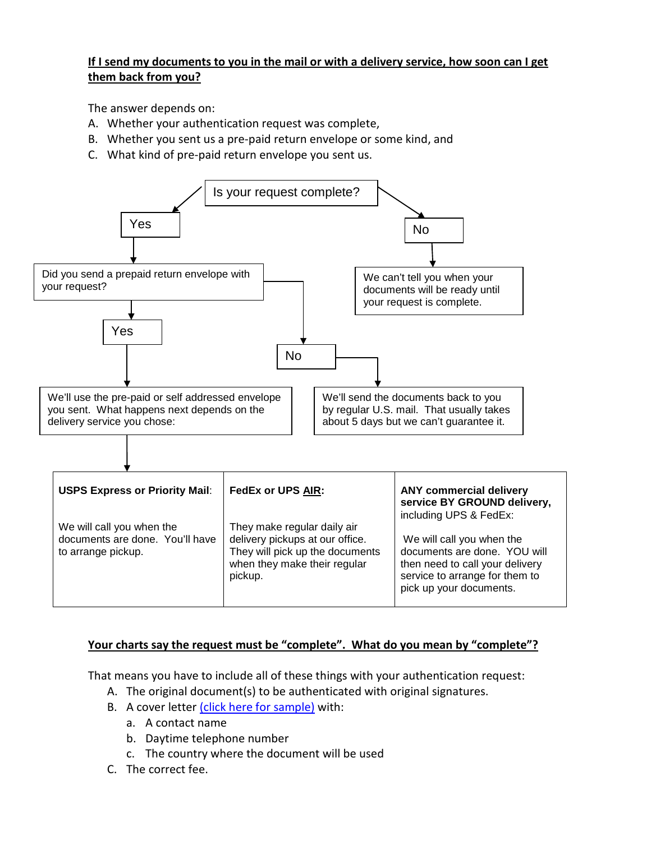# **If I send my documents to you in the mail or with a delivery service, how soon can I get them back from you?**

The answer depends on:

- A. Whether your authentication request was complete,
- B. Whether you sent us a pre-paid return envelope or some kind, and
- C. What kind of pre-paid return envelope you sent us.



### **Your charts say the request must be "complete". What do you mean by "complete"?**

That means you have to include all of these things with your authentication request:

- A. The original document(s) to be authenticated with original signatures.
- B. A cover letter [\(click here for sample\)](http://www.secretary.state.nc.us/authen/cover.aspx) with:
	- a. A contact name
	- b. Daytime telephone number
	- c. The country where the document will be used
- C. The correct fee.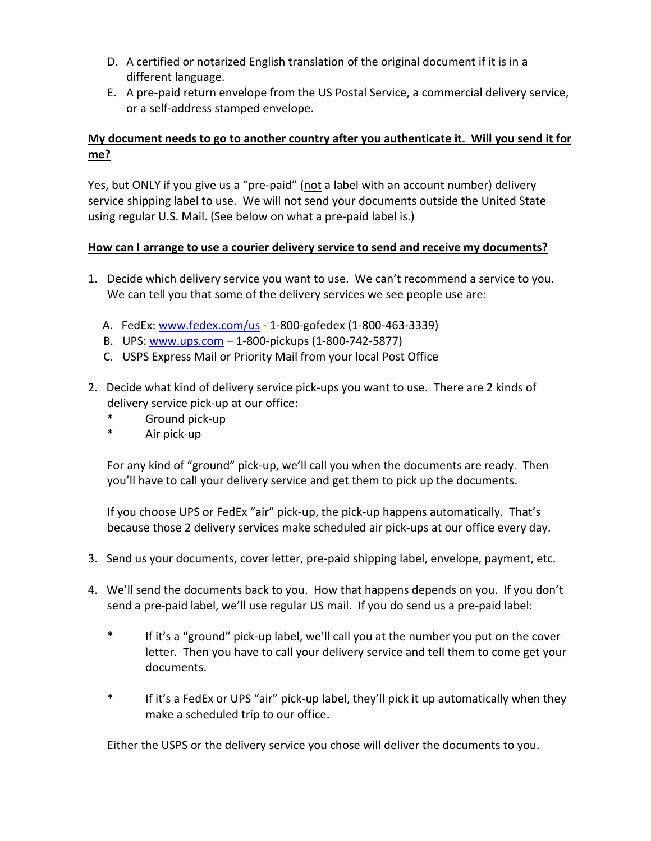- D. A certified or notarized English translation of the original document if it is in a different language.
- E. A pre-paid return envelope from the US Postal Service, a commercial delivery service, or a self-address stamped envelope.

# **My document needs to go to another country after you authenticate it. Will you send it for me?**

Yes, but ONLY if you give us a "pre-paid" (not a label with an account number) delivery service shipping label to use. We will not send your documents outside the United State using regular U.S. Mail. (See below on what a pre-paid label is.)

# **How can I arrange to use a courier delivery service to send and receive my documents?**

- 1. Decide which delivery service you want to use. We can't recommend a service to you. We can tell you that some of the delivery services we see people use are:
	- A. FedEx: [www.fedex.com/us](http://www.fedex.com/us) 1-800-gofedex (1-800-463-3339)
	- B. UPS: [www.ups.com](http://www.ups.com/) 1-800-pickups (1-800-742-5877)
	- C. USPS Express Mail or Priority Mail from your local Post Office
- 2. Decide what kind of delivery service pick-ups you want to use. There are 2 kinds of delivery service pick-up at our office:
	- Ground pick-up
	- Air pick-up

For any kind of "ground" pick-up, we'll call you when the documents are ready. Then you'll have to call your delivery service and get them to pick up the documents.

If you choose UPS or FedEx "air" pick-up, the pick-up happens automatically. That's because those 2 delivery services make scheduled air pick-ups at our office every day.

- 3. Send us your documents, cover letter, pre-paid shipping label, envelope, payment, etc.
- 4. We'll send the documents back to you. How that happens depends on you. If you don't send a pre-paid label, we'll use regular US mail. If you do send us a pre-paid label:
	- \* If it's a "ground" pick-up label, we'll call you at the number you put on the cover letter. Then you have to call your delivery service and tell them to come get your documents.
	- \* If it's a FedEx or UPS "air" pick-up label, they'll pick it up automatically when they make a scheduled trip to our office.

Either the USPS or the delivery service you chose will deliver the documents to you.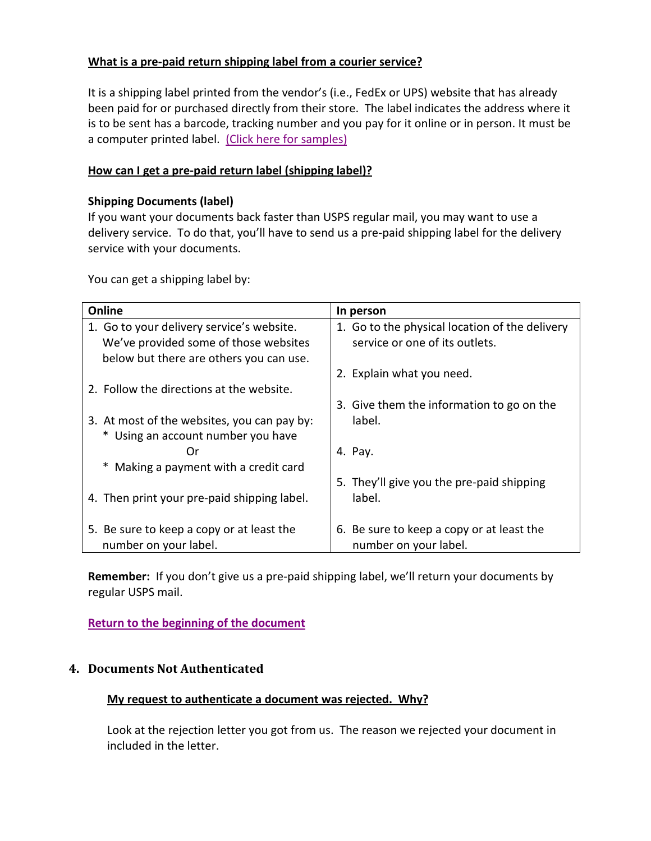# **What is a pre-paid return shipping label from a courier service?**

It is a shipping label printed from the vendor's (i.e., FedEx or UPS) website that has already been paid for or purchased directly from their store. The label indicates the address where it is to be sent has a barcode, tracking number and you pay for it online or in person. It must be a computer printed label. (Click here for samples)

## **How can I get a pre-paid return label (shipping label)?**

### **Shipping Documents (label)**

If you want your documents back faster than USPS regular mail, you may want to use a delivery service. To do that, you'll have to send us a pre-paid shipping label for the delivery service with your documents.

You can get a shipping label by:

| Online                                      | In person                                      |
|---------------------------------------------|------------------------------------------------|
| 1. Go to your delivery service's website.   | 1. Go to the physical location of the delivery |
| We've provided some of those websites       | service or one of its outlets.                 |
| below but there are others you can use.     |                                                |
|                                             | 2. Explain what you need.                      |
| 2. Follow the directions at the website.    |                                                |
|                                             | 3. Give them the information to go on the      |
| 3. At most of the websites, you can pay by: | label.                                         |
| * Using an account number you have          |                                                |
| Or                                          | 4. Pay.                                        |
| * Making a payment with a credit card       |                                                |
|                                             | 5. They'll give you the pre-paid shipping      |
| 4. Then print your pre-paid shipping label. | label.                                         |
|                                             |                                                |
| 5. Be sure to keep a copy or at least the   | 6. Be sure to keep a copy or at least the      |
| number on your label.                       | number on your label.                          |

**Remember:** If you don't give us a pre-paid shipping label, we'll return your documents by regular USPS mail.

**[Return to the beginning of the document](#page-0-1)**

### <span id="page-6-0"></span>**4. Documents Not Authenticated**

### **My request to authenticate a document was rejected. Why?**

Look at the rejection letter you got from us. The reason we rejected your document in included in the letter.